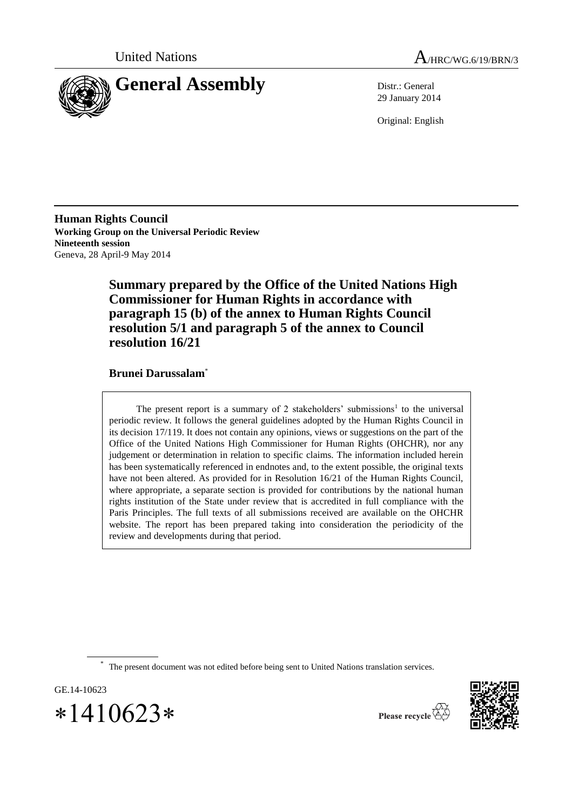



29 January 2014

Original: English

**Human Rights Council Working Group on the Universal Periodic Review Nineteenth session** Geneva, 28 April-9 May 2014

> **Summary prepared by the Office of the United Nations High Commissioner for Human Rights in accordance with paragraph 15 (b) of the annex to Human Rights Council resolution 5/1 and paragraph 5 of the annex to Council resolution 16/21**

## **Brunei Darussalam**\*

The present report is a summary of 2 stakeholders' submissions<sup>1</sup> to the universal periodic review. It follows the general guidelines adopted by the Human Rights Council in its decision 17/119. It does not contain any opinions, views or suggestions on the part of the Office of the United Nations High Commissioner for Human Rights (OHCHR), nor any judgement or determination in relation to specific claims. The information included herein has been systematically referenced in endnotes and, to the extent possible, the original texts have not been altered. As provided for in Resolution 16/21 of the Human Rights Council, where appropriate, a separate section is provided for contributions by the national human rights institution of the State under review that is accredited in full compliance with the Paris Principles. The full texts of all submissions received are available on the OHCHR website. The report has been prepared taking into consideration the periodicity of the review and developments during that period.

\* The present document was not edited before being sent to United Nations translation services.

GE.14-10623

 $*1410623*$ 



Please recycle  $\overline{\mathbb{G}}$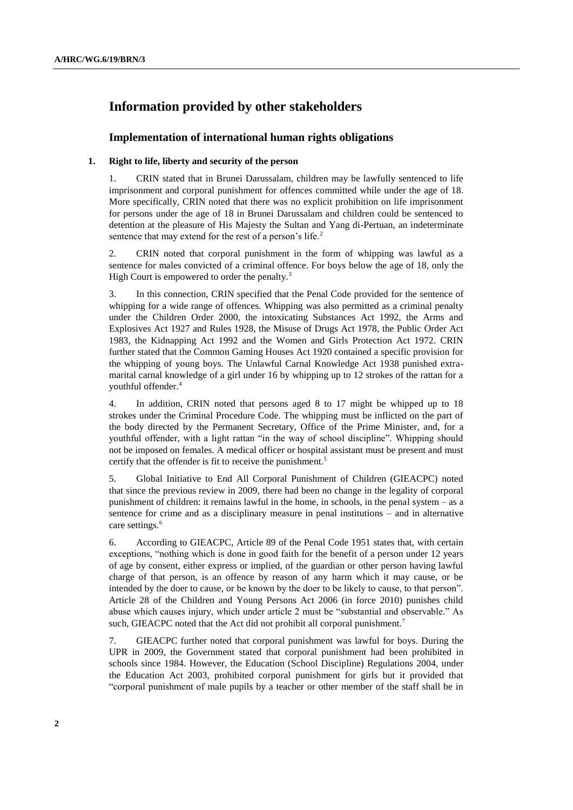# **Information provided by other stakeholders**

## **Implementation of international human rights obligations**

### **1. Right to life, liberty and security of the person**

1. CRIN stated that in Brunei Darussalam, children may be lawfully sentenced to life imprisonment and corporal punishment for offences committed while under the age of 18. More specifically, CRIN noted that there was no explicit prohibition on life imprisonment for persons under the age of 18 in Brunei Darussalam and children could be sentenced to detention at the pleasure of His Majesty the Sultan and Yang di-Pertuan, an indeterminate sentence that may extend for the rest of a person's life.<sup>2</sup>

2. CRIN noted that corporal punishment in the form of whipping was lawful as a sentence for males convicted of a criminal offence. For boys below the age of 18, only the High Court is empowered to order the penalty.<sup>3</sup>

3. In this connection, CRIN specified that the Penal Code provided for the sentence of whipping for a wide range of offences. Whipping was also permitted as a criminal penalty under the Children Order 2000, the intoxicating Substances Act 1992, the Arms and Explosives Act 1927 and Rules 1928, the Misuse of Drugs Act 1978, the Public Order Act 1983, the Kidnapping Act 1992 and the Women and Girls Protection Act 1972. CRIN further stated that the Common Gaming Houses Act 1920 contained a specific provision for the whipping of young boys. The Unlawful Carnal Knowledge Act 1938 punished extramarital carnal knowledge of a girl under 16 by whipping up to 12 strokes of the rattan for a youthful offender.<sup>4</sup>

4. In addition, CRIN noted that persons aged 8 to 17 might be whipped up to 18 strokes under the Criminal Procedure Code. The whipping must be inflicted on the part of the body directed by the Permanent Secretary, Office of the Prime Minister, and, for a youthful offender, with a light rattan "in the way of school discipline". Whipping should not be imposed on females. A medical officer or hospital assistant must be present and must certify that the offender is fit to receive the punishment.<sup>5</sup>

5. Global Initiative to End All Corporal Punishment of Children (GIEACPC) noted that since the previous review in 2009, there had been no change in the legality of corporal punishment of children: it remains lawful in the home, in schools, in the penal system – as a sentence for crime and as a disciplinary measure in penal institutions – and in alternative care settings.<sup>6</sup>

6. According to GIEACPC, Article 89 of the Penal Code 1951 states that, with certain exceptions, "nothing which is done in good faith for the benefit of a person under 12 years of age by consent, either express or implied, of the guardian or other person having lawful charge of that person, is an offence by reason of any harm which it may cause, or be intended by the doer to cause, or be known by the doer to be likely to cause, to that person". Article 28 of the Children and Young Persons Act 2006 (in force 2010) punishes child abuse which causes injury, which under article 2 must be "substantial and observable." As such, GIEACPC noted that the Act did not prohibit all corporal punishment.<sup>7</sup>

7. GIEACPC further noted that corporal punishment was lawful for boys. During the UPR in 2009, the Government stated that corporal punishment had been prohibited in schools since 1984. However, the Education (School Discipline) Regulations 2004, under the Education Act 2003, prohibited corporal punishment for girls but it provided that "corporal punishment of male pupils by a teacher or other member of the staff shall be in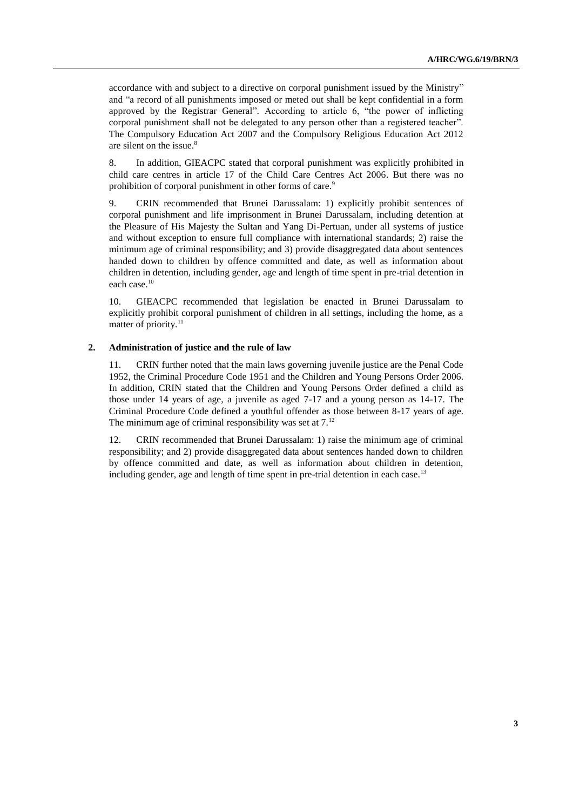accordance with and subject to a directive on corporal punishment issued by the Ministry" and "a record of all punishments imposed or meted out shall be kept confidential in a form approved by the Registrar General". According to article 6, "the power of inflicting corporal punishment shall not be delegated to any person other than a registered teacher". The Compulsory Education Act 2007 and the Compulsory Religious Education Act 2012 are silent on the issue.<sup>8</sup>

8. In addition, GIEACPC stated that corporal punishment was explicitly prohibited in child care centres in article 17 of the Child Care Centres Act 2006. But there was no prohibition of corporal punishment in other forms of care.<sup>9</sup>

9. CRIN recommended that Brunei Darussalam: 1) explicitly prohibit sentences of corporal punishment and life imprisonment in Brunei Darussalam, including detention at the Pleasure of His Majesty the Sultan and Yang Di-Pertuan, under all systems of justice and without exception to ensure full compliance with international standards; 2) raise the minimum age of criminal responsibility; and 3) provide disaggregated data about sentences handed down to children by offence committed and date, as well as information about children in detention, including gender, age and length of time spent in pre-trial detention in each case.<sup>10</sup>

10. GIEACPC recommended that legislation be enacted in Brunei Darussalam to explicitly prohibit corporal punishment of children in all settings, including the home, as a matter of priority.<sup>11</sup>

#### **2. Administration of justice and the rule of law**

11. CRIN further noted that the main laws governing juvenile justice are the Penal Code 1952, the Criminal Procedure Code 1951 and the Children and Young Persons Order 2006. In addition, CRIN stated that the Children and Young Persons Order defined a child as those under 14 years of age, a juvenile as aged 7-17 and a young person as 14-17. The Criminal Procedure Code defined a youthful offender as those between 8-17 years of age. The minimum age of criminal responsibility was set at  $7<sup>12</sup>$ 

12. CRIN recommended that Brunei Darussalam: 1) raise the minimum age of criminal responsibility; and 2) provide disaggregated data about sentences handed down to children by offence committed and date, as well as information about children in detention, including gender, age and length of time spent in pre-trial detention in each case.<sup>13</sup>